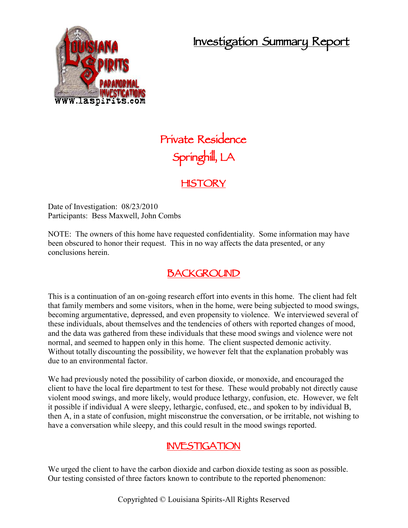# **Investigation Summary Report**



# **Private Residence Springhill, LA**

### **HISTORY**

Date of Investigation:  $08/23/2010$ Participants: Bess Maxwell, John Combs

NOTE: The owners of this home have requested confidentiality. Some information may have been obscured to honor their request. This in no way affects the data presented, or any conclusions herein.

## **BACKGROUND**

This is a continuation of an on-going research effort into events in this home. The client had felt that family members and some visitors, when in the home, were being subjected to mood swings, becoming argumentative, depressed, and even propensity to violence. We interviewed several of these individuals, about themselves and the tendencies of others with reported changes of mood, and the data was gathered from these individuals that these mood swings and violence were not normal, and seemed to happen only in this home. The client suspected demonic activity. Without totally discounting the possibility, we however felt that the explanation probably was due to an environmental factor.

We had previously noted the possibility of carbon dioxide, or monoxide, and encouraged the client to have the local fire department to test for these. These would probably not directly cause violent mood swings, and more likely, would produce lethargy, confusion, etc. However, we felt it possible if individual A were sleepy, lethargic, confused, etc., and spoken to by individual B, then A, in a state of confusion, might misconstrue the conversation, or be irritable, not wishing to have a conversation while sleepy, and this could result in the mood swings reported.

#### **INVESTIGATION**

We urged the client to have the carbon dioxide and carbon dioxide testing as soon as possible. Our testing consisted of three factors known to contribute to the reported phenomenon: